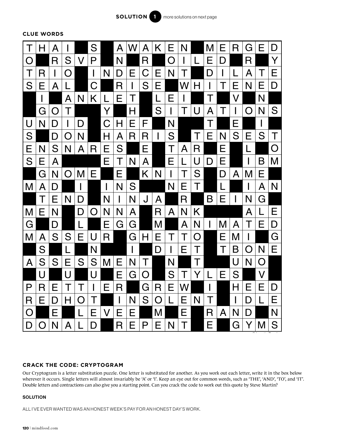

**CLUE WORDS**



# **CRACK THE CODE: CRYPTOGRAM**

Our Cryptogram is a letter substitution puzzle. One letter is substituted for another. As you work out each letter, write it in the box below wherever it occurs. Single letters will almost invariably be 'A' or 'I'. Keep an eye out for common words, such as 'THE', 'AND', 'TO', and 'IT'. Double letters and contractions can also give you a starting point. Can you crack the code to work out this quote by Steve Martin?

## **SOLUTION**

ALL I'VE EVER WANTED WAS AN HONEST WEEK'S PAY FOR AN HONEST DAY'S WORK.